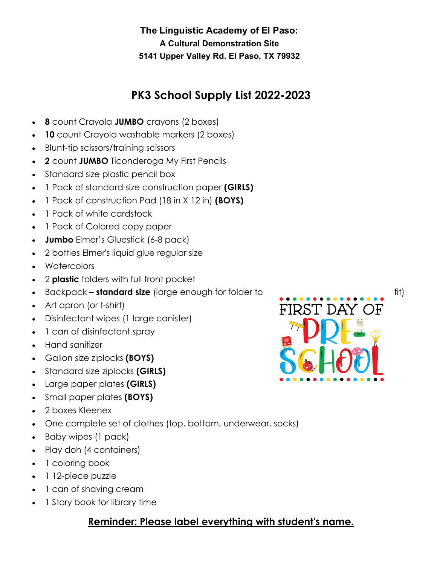## **PK3 School Supply List 2022-2023**

- **8** count Crayola **JUMBO** crayons (2 boxes)
- **10** count Crayola washable markers (2 boxes)
- Blunt-tip scissors/training scissors
- **2** count **JUMBO** Ticonderoga My First Pencils
- Standard size plastic pencil box
- 1 Pack of standard size construction paper **(GIRLS)**
- 1 Pack of construction Pad (18 in X 12 in) **(BOYS)**
- 1 Pack of white cardstock
- 1 Pack of Colored copy paper
- **Jumbo** Elmer's Gluestick (6-8 pack)
- 2 bottles Elmer's liquid glue regular size
- Watercolors
- 2 **plastic** folders with full front pocket
- Backpack **standard size** (large enough for folder to fit) fit)
- Art apron (or t-shirt)
- Disinfectant wipes (1 large canister)
- 1 can of disinfectant spray
- Hand sanitizer
- Gallon size ziplocks **(BOYS)**
- Standard size ziplocks **(GIRLS)**
- Large paper plates **(GIRLS)**
- Small paper plates **(BOYS)**
- 2 boxes Kleenex
- One complete set of clothes (top, bottom, underwear, socks)
- Baby wipes (1 pack)
- Play doh (4 containers)
- 1 coloring book
- 1 12-piece puzzle
- 1 can of shaving cream
- 1 Story book for library time

### **Reminder: Please label everything with student's name.**

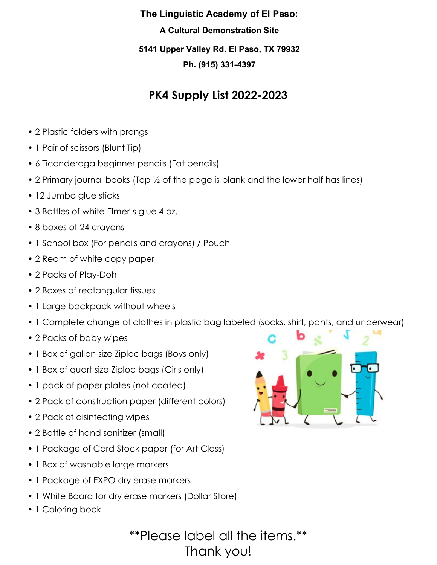## **PK4 Supply List 2022-2023**

- 2 Plastic folders with prongs
- 1 Pair of scissors (Blunt Tip)
- 6 Ticonderoga beginner pencils (Fat pencils)
- 2 Primary journal books (Top ½ of the page is blank and the lower half has lines)
- 12 Jumbo glue sticks
- 3 Bottles of white Elmer's glue 4 oz.
- 8 boxes of 24 crayons
- 1 School box (For pencils and crayons) / Pouch
- 2 Ream of white copy paper
- 2 Packs of Play-Doh
- 2 Boxes of rectangular tissues
- 1 Large backpack without wheels
- 1 Complete change of clothes in plastic bag labeled (socks, shirt, pants, and underwear)
- 2 Packs of baby wipes
- 1 Box of gallon size Ziploc bags (Boys only)
- 1 Box of quart size Ziploc bags (Girls only)
- 1 pack of paper plates (not coated)
- 2 Pack of construction paper (different colors)
- 2 Pack of disinfecting wipes
- 2 Bottle of hand sanitizer (small)
- 1 Package of Card Stock paper (for Art Class)
- 1 Box of washable large markers
- 1 Package of EXPO dry erase markers
- 1 White Board for dry erase markers (Dollar Store)
- 1 Coloring book



\*\*Please label all the items.\*\* Thank you!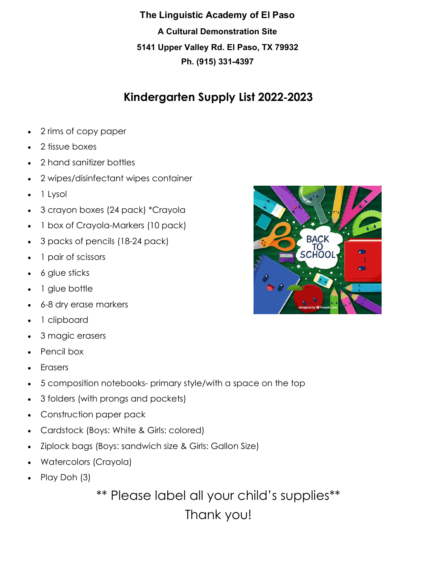### **Kindergarten Supply List 2022**‐**2023**

- 2 rims of copy paper
- 2 tissue boxes
- 2 hand sanitizer bottles
- 2 wipes/disinfectant wipes container
- 1 Lysol
- 3 crayon boxes (24 pack) \*Crayola
- 1 box of Crayola-Markers (10 pack)
- 3 packs of pencils (18-24 pack)
- 1 pair of scissors
- 6 glue sticks
- 1 glue bottle
- 6-8 dry erase markers
- 1 clipboard
- 3 magic erasers
- Pencil box
- Erasers
- 5 composition notebooks- primary style/with a space on the top
- 3 folders (with prongs and pockets)
- Construction paper pack
- Cardstock (Boys: White & Girls: colored)
- Ziplock bags (Boys: sandwich size & Girls: Gallon Size)
- Watercolors (Crayola)
- Play Doh (3)

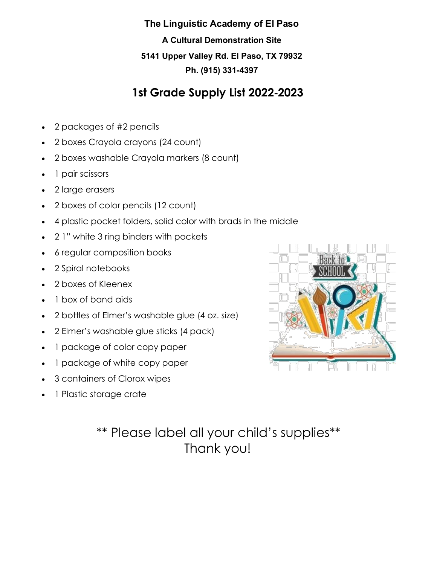#### **The Linguistic Academy of El Paso**

**A Cultural Demonstration Site 5141 Upper Valley Rd. El Paso, TX 79932 Ph. (915) 331-4397**

### **1st Grade Supply List 2022**‐**2023**

- 2 packages of #2 pencils
- 2 boxes Crayola crayons (24 count)
- 2 boxes washable Crayola markers (8 count)
- 1 pair scissors
- 2 large erasers
- 2 boxes of color pencils (12 count)
- 4 plastic pocket folders, solid color with brads in the middle
- 2 1" white 3 ring binders with pockets
- 6 regular composition books
- 2 Spiral notebooks
- 2 boxes of Kleenex
- 1 box of band aids
- 2 bottles of Elmer's washable glue (4 oz. size)
- 2 Elmer's washable glue sticks (4 pack)
- 1 package of color copy paper
- 1 package of white copy paper
- 3 containers of Clorox wipes
- 1 Plastic storage crate

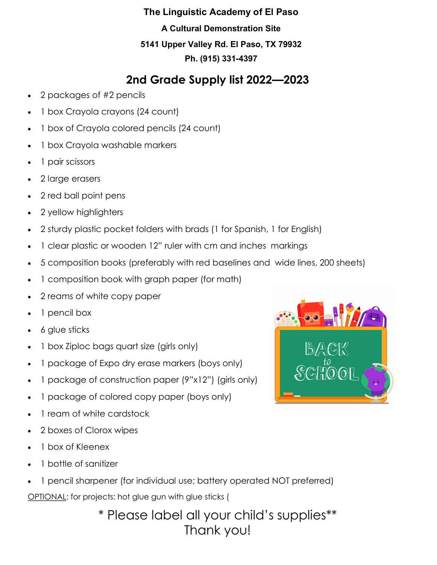## **2nd Grade Supply list 2022—2023**

- 2 packages of #2 pencils
- 1 box Crayola crayons (24 count)
- 1 box of Crayola colored pencils (24 count)
- 1 box Crayola washable markers
- 1 pair scissors
- 2 large erasers
- 2 red ball point pens
- 2 yellow highlighters
- 2 sturdy plastic pocket folders with brads (1 for Spanish, 1 for English)
- 1 clear plastic or wooden 12" ruler with cm and inches markings
- 5 composition books (preferably with red baselines and wide lines, 200 sheets)
- 1 composition book with graph paper (for math)
- 2 reams of white copy paper
- 1 pencil box
- 6 glue sticks
- 1 box Ziploc bags quart size (girls only)
- 1 package of Expo dry erase markers (boys only)
- 1 package of construction paper (9"x12") (girls only)
- 1 package of colored copy paper (boys only)
- 1 ream of white cardstock
- 2 boxes of Clorox wipes
- 1 box of Kleenex
- 1 bottle of sanitizer
- 1 pencil sharpener (for individual use; battery operated NOT preferred) OPTIONAL: for projects: hot glue gun with glue sticks (

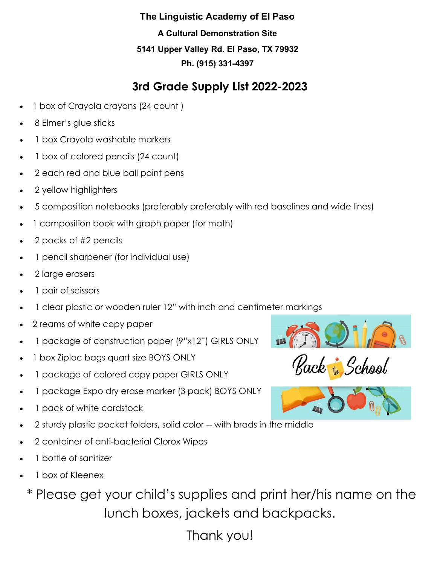### **The Linguistic Academy of El Paso**

**A Cultural Demonstration Site 5141 Upper Valley Rd. El Paso, TX 79932 Ph. (915) 331-4397**

## **3rd Grade Supply List 2022-2023**

- 1 box of Crayola crayons (24 count )
- 8 Elmer's glue sticks
- 1 box Crayola washable markers
- 1 box of colored pencils (24 count)
- 2 each red and blue ball point pens
- 2 yellow highlighters
- 5 composition notebooks (preferably preferably with red baselines and wide lines)
- 1 composition book with graph paper (for math)
- 2 packs of #2 pencils
- 1 pencil sharpener (for individual use)
- 2 large erasers
- 1 pair of scissors
- 1 clear plastic or wooden ruler 12" with inch and centimeter markings
- 2 reams of white copy paper
- 1 package of construction paper (9"x12") GIRLS ONLY
- 1 box Ziploc bags quart size BOYS ONLY
- 1 package of colored copy paper GIRLS ONLY
- 1 package Expo dry erase marker (3 pack) BOYS ONLY
- 1 pack of white cardstock
- 2 sturdy plastic pocket folders, solid color -- with brads in the middle
- 2 container of anti-bacterial Clorox Wipes
- 1 bottle of sanitizer
- 1 box of Kleenex

\* Please get your child's supplies and print her/his name on the lunch boxes, jackets and backpacks.



Back to School



Thank you!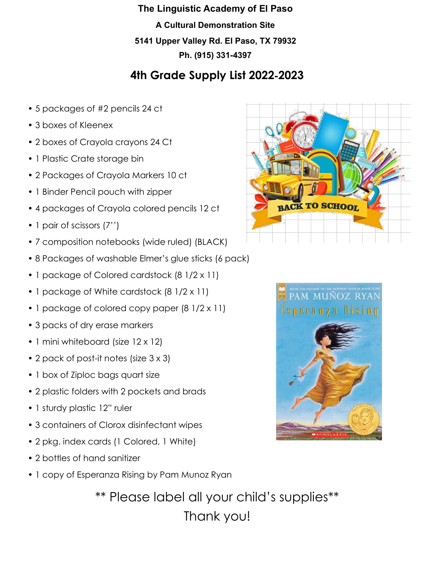### **4th Grade Supply List 2022**‐**2023**

- 5 packages of #2 pencils 24 ct
- 3 boxes of Kleenex
- 2 boxes of Crayola crayons 24 Ct
- 1 Plastic Crate storage bin
- 2 Packages of Crayola Markers 10 ct
- 1 Binder Pencil pouch with zipper
- 4 packages of Crayola colored pencils 12 ct
- 1 pair of scissors (7'')
- 7 composition notebooks (wide ruled) (BLACK)
- 8 Packages of washable Elmer's glue sticks (6 pack)
- 1 package of Colored cardstock (8 1/2 x 11)
- 1 package of White cardstock (8 1/2 x 11)
- 1 package of colored copy paper (8 1/2 x 11)
- 3 packs of dry erase markers
- 1 mini whiteboard (size 12 x 12)
- 2 pack of post-it notes (size 3 x 3)
- 1 box of Ziploc bags quart size
- 2 plastic folders with 2 pockets and brads
- 1 sturdy plastic 12" ruler
- 3 containers of Clorox disinfectant wipes
- 2 pkg. index cards (1 Colored, 1 White)
- 2 bottles of hand sanitizer
- 1 copy of Esperanza Rising by Pam Munoz Ryan